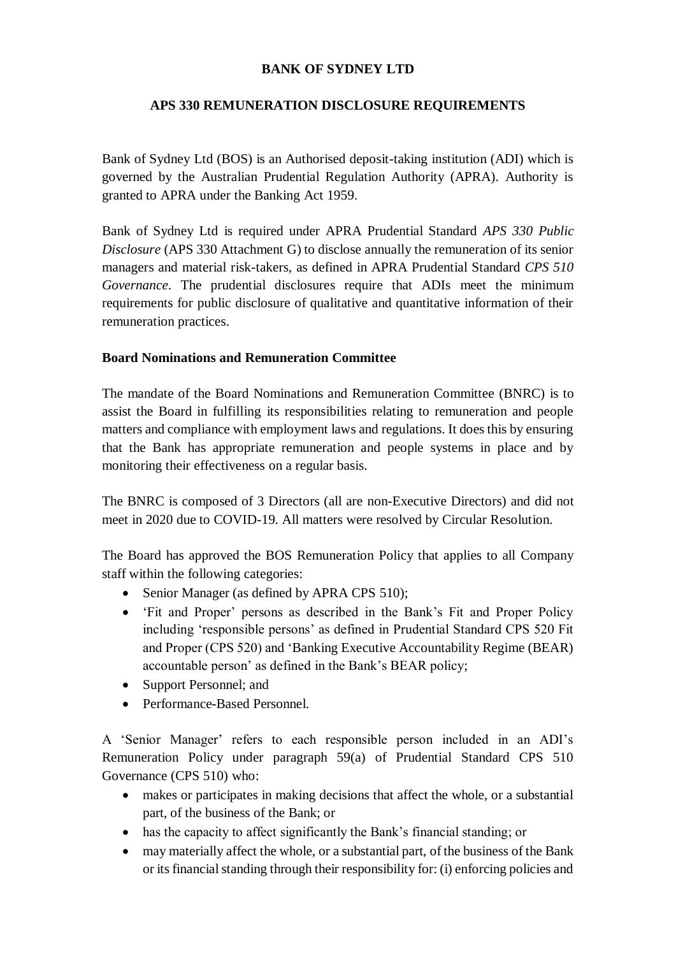### **BANK OF SYDNEY LTD**

### **APS 330 REMUNERATION DISCLOSURE REQUIREMENTS**

Bank of Sydney Ltd (BOS) is an Authorised deposit-taking institution (ADI) which is governed by the Australian Prudential Regulation Authority (APRA). Authority is granted to APRA under the Banking Act 1959.

Bank of Sydney Ltd is required under APRA Prudential Standard *APS 330 Public Disclosure* (APS 330 Attachment G) to disclose annually the remuneration of its senior managers and material risk-takers, as defined in APRA Prudential Standard *CPS 510 Governance*. The prudential disclosures require that ADIs meet the minimum requirements for public disclosure of qualitative and quantitative information of their remuneration practices.

### **Board Nominations and Remuneration Committee**

The mandate of the Board Nominations and Remuneration Committee (BNRC) is to assist the Board in fulfilling its responsibilities relating to remuneration and people matters and compliance with employment laws and regulations. It does this by ensuring that the Bank has appropriate remuneration and people systems in place and by monitoring their effectiveness on a regular basis.

The BNRC is composed of 3 Directors (all are non-Executive Directors) and did not meet in 2020 due to COVID-19. All matters were resolved by Circular Resolution.

The Board has approved the BOS Remuneration Policy that applies to all Company staff within the following categories:

- Senior Manager (as defined by APRA CPS 510);
- 'Fit and Proper' persons as described in the Bank's Fit and Proper Policy including 'responsible persons' as defined in Prudential Standard CPS 520 Fit and Proper (CPS 520) and 'Banking Executive Accountability Regime (BEAR) accountable person' as defined in the Bank's BEAR policy;
- Support Personnel; and
- Performance-Based Personnel.

A 'Senior Manager' refers to each responsible person included in an ADI's Remuneration Policy under paragraph 59(a) of Prudential Standard CPS 510 Governance (CPS 510) who:

- makes or participates in making decisions that affect the whole, or a substantial part, of the business of the Bank; or
- has the capacity to affect significantly the Bank's financial standing; or
- may materially affect the whole, or a substantial part, of the business of the Bank or its financial standing through their responsibility for: (i) enforcing policies and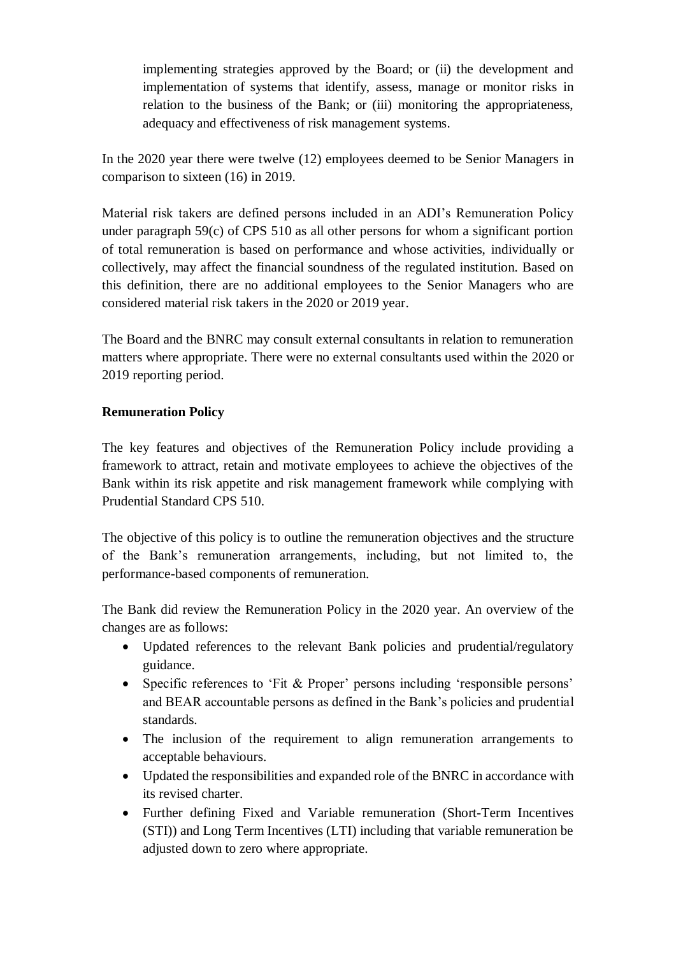implementing strategies approved by the Board; or (ii) the development and implementation of systems that identify, assess, manage or monitor risks in relation to the business of the Bank; or (iii) monitoring the appropriateness, adequacy and effectiveness of risk management systems.

In the 2020 year there were twelve (12) employees deemed to be Senior Managers in comparison to sixteen (16) in 2019.

Material risk takers are defined persons included in an ADI's Remuneration Policy under paragraph 59(c) of CPS 510 as all other persons for whom a significant portion of total remuneration is based on performance and whose activities, individually or collectively, may affect the financial soundness of the regulated institution. Based on this definition, there are no additional employees to the Senior Managers who are considered material risk takers in the 2020 or 2019 year.

The Board and the BNRC may consult external consultants in relation to remuneration matters where appropriate. There were no external consultants used within the 2020 or 2019 reporting period.

### **Remuneration Policy**

The key features and objectives of the Remuneration Policy include providing a framework to attract, retain and motivate employees to achieve the objectives of the Bank within its risk appetite and risk management framework while complying with Prudential Standard CPS 510.

The objective of this policy is to outline the remuneration objectives and the structure of the Bank's remuneration arrangements, including, but not limited to, the performance-based components of remuneration.

The Bank did review the Remuneration Policy in the 2020 year. An overview of the changes are as follows:

- Updated references to the relevant Bank policies and prudential/regulatory guidance.
- Specific references to 'Fit & Proper' persons including 'responsible persons' and BEAR accountable persons as defined in the Bank's policies and prudential standards.
- The inclusion of the requirement to align remuneration arrangements to acceptable behaviours.
- Updated the responsibilities and expanded role of the BNRC in accordance with its revised charter.
- Further defining Fixed and Variable remuneration (Short-Term Incentives (STI)) and Long Term Incentives (LTI) including that variable remuneration be adjusted down to zero where appropriate.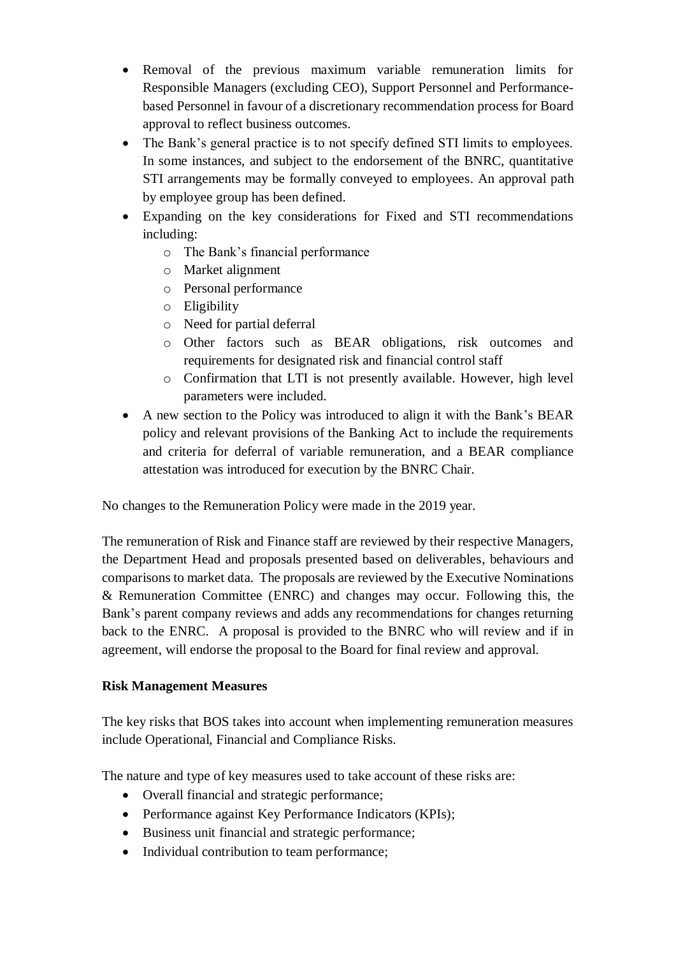- Removal of the previous maximum variable remuneration limits for Responsible Managers (excluding CEO), Support Personnel and Performancebased Personnel in favour of a discretionary recommendation process for Board approval to reflect business outcomes.
- The Bank's general practice is to not specify defined STI limits to employees. In some instances, and subject to the endorsement of the BNRC, quantitative STI arrangements may be formally conveyed to employees. An approval path by employee group has been defined.
- Expanding on the key considerations for Fixed and STI recommendations including:
	- o The Bank's financial performance
	- o Market alignment
	- o Personal performance
	- o Eligibility
	- o Need for partial deferral
	- o Other factors such as BEAR obligations, risk outcomes and requirements for designated risk and financial control staff
	- o Confirmation that LTI is not presently available. However, high level parameters were included.
- A new section to the Policy was introduced to align it with the Bank's BEAR policy and relevant provisions of the Banking Act to include the requirements and criteria for deferral of variable remuneration, and a BEAR compliance attestation was introduced for execution by the BNRC Chair.

No changes to the Remuneration Policy were made in the 2019 year.

The remuneration of Risk and Finance staff are reviewed by their respective Managers, the Department Head and proposals presented based on deliverables, behaviours and comparisons to market data. The proposals are reviewed by the Executive Nominations & Remuneration Committee (ENRC) and changes may occur. Following this, the Bank's parent company reviews and adds any recommendations for changes returning back to the ENRC. A proposal is provided to the BNRC who will review and if in agreement, will endorse the proposal to the Board for final review and approval.

# **Risk Management Measures**

The key risks that BOS takes into account when implementing remuneration measures include Operational, Financial and Compliance Risks.

The nature and type of key measures used to take account of these risks are:

- Overall financial and strategic performance;
- Performance against Key Performance Indicators (KPIs):
- Business unit financial and strategic performance;
- Individual contribution to team performance;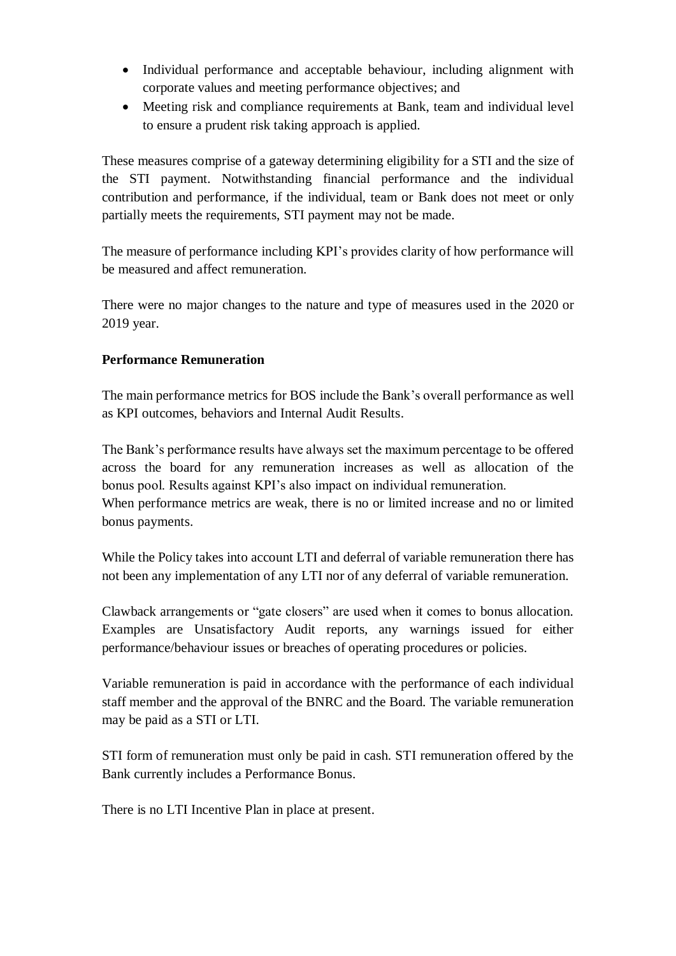- Individual performance and acceptable behaviour, including alignment with corporate values and meeting performance objectives; and
- Meeting risk and compliance requirements at Bank, team and individual level to ensure a prudent risk taking approach is applied.

These measures comprise of a gateway determining eligibility for a STI and the size of the STI payment. Notwithstanding financial performance and the individual contribution and performance, if the individual, team or Bank does not meet or only partially meets the requirements, STI payment may not be made.

The measure of performance including KPI's provides clarity of how performance will be measured and affect remuneration.

There were no major changes to the nature and type of measures used in the 2020 or 2019 year.

# **Performance Remuneration**

The main performance metrics for BOS include the Bank's overall performance as well as KPI outcomes, behaviors and Internal Audit Results.

The Bank's performance results have always set the maximum percentage to be offered across the board for any remuneration increases as well as allocation of the bonus pool. Results against KPI's also impact on individual remuneration. When performance metrics are weak, there is no or limited increase and no or limited bonus payments.

While the Policy takes into account LTI and deferral of variable remuneration there has not been any implementation of any LTI nor of any deferral of variable remuneration.

Clawback arrangements or "gate closers" are used when it comes to bonus allocation. Examples are Unsatisfactory Audit reports, any warnings issued for either performance/behaviour issues or breaches of operating procedures or policies.

Variable remuneration is paid in accordance with the performance of each individual staff member and the approval of the BNRC and the Board. The variable remuneration may be paid as a STI or LTI.

STI form of remuneration must only be paid in cash. STI remuneration offered by the Bank currently includes a Performance Bonus.

There is no LTI Incentive Plan in place at present.